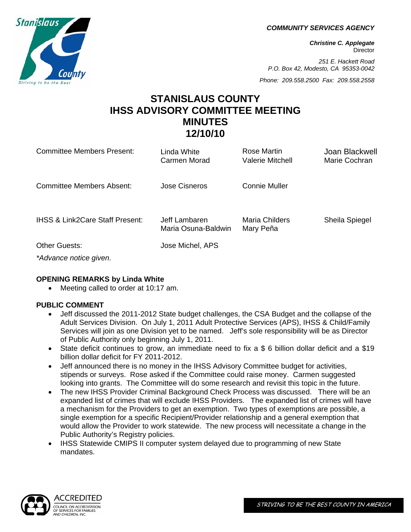*COMMUNITY SERVICES AGENCY* 

*Christine C. Applegate*  **Director** 

*251 E. Hackett Road P.O. Box 42, Modesto, CA 95353-0042* 

*Phone: 209.558.2500 Fax: 209.558.2558*

# **STANISLAUS COUNTY IHSS ADVISORY COMMITTEE MEETING MINUTES 12/10/10**

| <b>Committee Members Present:</b>          | Linda White<br>Carmen Morad          | Rose Martin<br>Valerie Mitchell | Joan Blackwell<br>Marie Cochran |
|--------------------------------------------|--------------------------------------|---------------------------------|---------------------------------|
| Committee Members Absent:                  | <b>Jose Cisneros</b>                 | <b>Connie Muller</b>            |                                 |
| <b>IHSS &amp; Link2Care Staff Present:</b> | Jeff Lambaren<br>Maria Osuna-Baldwin | Maria Childers<br>Mary Peña     | Sheila Spiegel                  |
| <b>Other Guests:</b>                       | Jose Michel, APS                     |                                 |                                 |
| *Advance notice given.                     |                                      |                                 |                                 |

#### **OPENING REMARKS by Linda White**

• Meeting called to order at 10:17 am.

# **PUBLIC COMMENT**

- Jeff discussed the 2011-2012 State budget challenges, the CSA Budget and the collapse of the Adult Services Division. On July 1, 2011 Adult Protective Services (APS), IHSS & Child/Family Services will join as one Division yet to be named. Jeff's sole responsibility will be as Director of Public Authority only beginning July 1, 2011.
- State deficit continues to grow, an immediate need to fix a \$ 6 billion dollar deficit and a \$19 billion dollar deficit for FY 2011-2012.
- Jeff announced there is no money in the IHSS Advisory Committee budget for activities, stipends or surveys. Rose asked if the Committee could raise money. Carmen suggested looking into grants. The Committee will do some research and revisit this topic in the future.
- The new IHSS Provider Criminal Background Check Process was discussed. There will be an expanded list of crimes that will exclude IHSS Providers. The expanded list of crimes will have a mechanism for the Providers to get an exemption. Two types of exemptions are possible, a single exemption for a specific Recipient/Provider relationship and a general exemption that would allow the Provider to work statewide. The new process will necessitate a change in the Public Authority's Registry policies.
- IHSS Statewide CMIPS II computer system delayed due to programming of new State mandates.